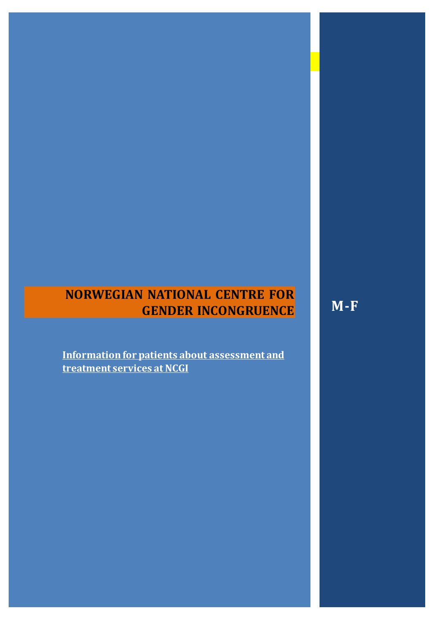# **NORWEGIAN NATIONAL CENTRE FOR GENDER INCONGRUENCE**

**M-F**

**Information for patients about assessment and treatment services at NCGI**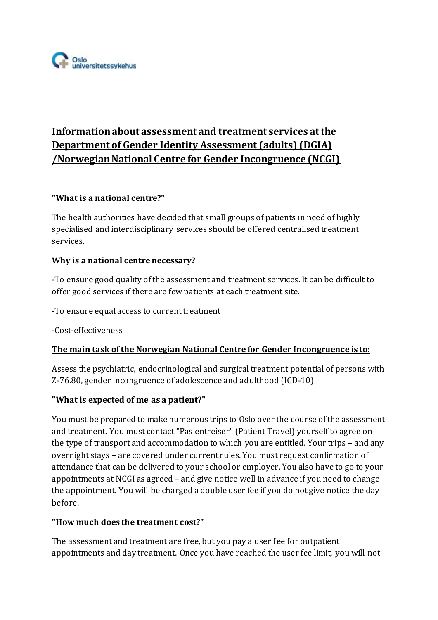

## **Information about assessment and treatment services at the Department of Gender Identity Assessment (adults) (DGIA) /Norwegian National Centre for Gender Incongruence (NCGI)**

#### **"What is a national centre?"**

The health authorities have decided that small groups of patients in need of highly specialised and interdisciplinary services should be offered centralised treatment services.

#### **Why is a national centre necessary?**

-To ensure good quality of the assessment and treatment services. It can be difficult to offer good services if there are few patients at each treatment site.

-To ensure equal access to current treatment

-Cost-effectiveness

#### **The main task of the Norwegian National Centre for Gender Incongruence is to:**

Assess the psychiatric, endocrinological and surgical treatment potential of persons with Z-76.80, gender incongruence of adolescence and adulthood (ICD-10)

#### **"What is expected of me as a patient?"**

You must be prepared to make numerous trips to Oslo over the course of the assessment and treatment. You must contact "Pasientreiser" (Patient Travel) yourself to agree on the type of transport and accommodation to which you are entitled. Your trips – and any overnight stays – are covered under current rules. You must request confirmation of attendance that can be delivered to your school or employer. You also have to go to your appointments at NCGI as agreed – and give notice well in advance if you need to change the appointment. You will be charged a double user fee if you do not give notice the day before.

#### **"How much does the treatment cost?"**

The assessment and treatment are free, but you pay a user fee for outpatient appointments and day treatment. Once you have reached the user fee limit, you will not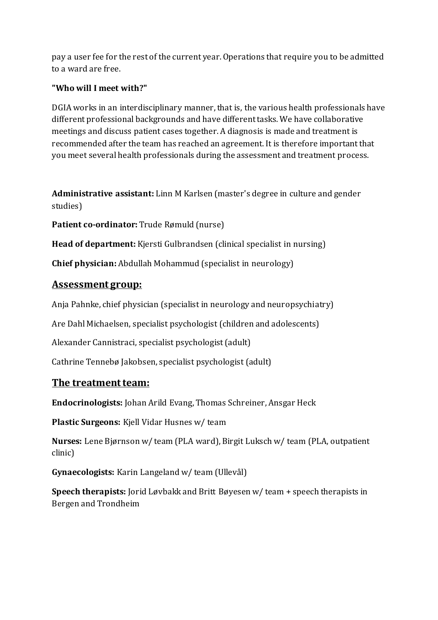pay a user fee for the rest of the current year. Operations that require you to be admitted to a ward are free.

## **"Who will I meet with?"**

DGIA works in an interdisciplinary manner, that is, the various health professionals have different professional backgrounds and have different tasks. We have collaborative meetings and discuss patient cases together. A diagnosis is made and treatment is recommended after the team has reached an agreement. It is therefore important that you meet several health professionals during the assessment and treatment process.

**Administrative assistant:** Linn M Karlsen (master's degree in culture and gender studies)

**Patient co-ordinator:** Trude Rømuld (nurse)

**Head of department:** Kjersti Gulbrandsen (clinical specialist in nursing)

**Chief physician:** Abdullah Mohammud (specialist in neurology)

## **Assessment group:**

Anja Pahnke, chief physician (specialist in neurology and neuropsychiatry)

Are Dahl Michaelsen, specialist psychologist (children and adolescents)

Alexander Cannistraci, specialist psychologist (adult)

Cathrine Tennebø Jakobsen, specialist psychologist (adult)

## **The treatment team:**

**Endocrinologists:** Johan Arild Evang, Thomas Schreiner, Ansgar Heck

**Plastic Surgeons:** Kjell Vidar Husnes w/ team

**Nurses:** Lene Bjørnson w/ team (PLA ward), Birgit Luksch w/ team (PLA, outpatient clinic)

**Gynaecologists:** Karin Langeland w/ team (Ullevål)

**Speech therapists:** Jorid Løvbakk and Britt Bøyesen w/ team + speech therapists in Bergen and Trondheim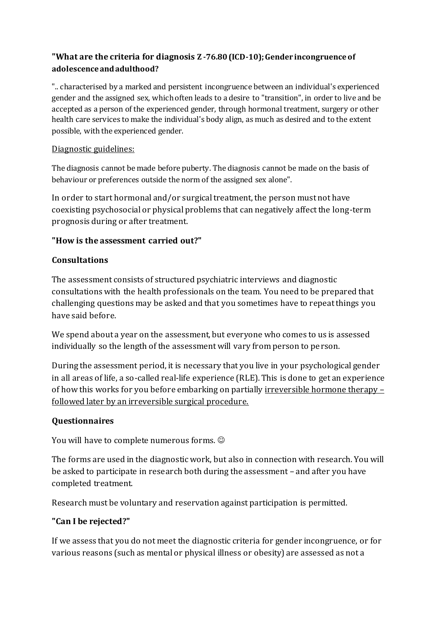## **"What are the criteria for diagnosis Z -76.80 (ICD-10); Gender incongruence of adolescence and adulthood?**

".. characterised by a marked and persistent incongruence between an individual's experienced gender and the assigned sex, which often leads to a desire to "transition", in order to live and be accepted as a person of the experienced gender, through hormonal treatment, surgery or other health care services to make the individual's body align, as much as desired and to the extent possible, with the experienced gender.

#### Diagnostic guidelines:

The diagnosis cannot be made before puberty. The diagnosis cannot be made on the basis of behaviour or preferences outside the norm of the assigned sex alone".

In order to start hormonal and/or surgical treatment, the person must not have coexisting psychosocial or physical problems that can negatively affect the long-term prognosis during or after treatment.

#### **"How is the assessment carried out?"**

## **Consultations**

The assessment consists of structured psychiatric interviews and diagnostic consultations with the health professionals on the team. You need to be prepared that challenging questions may be asked and that you sometimes have to repeat things you have said before.

We spend about a year on the assessment, but everyone who comes to us is assessed individually so the length of the assessment will vary from person to person.

During the assessment period, it is necessary that you live in your psychological gender in all areas of life, a so-called real-life experience (RLE). This is done to get an experience of how this works for you before embarking on partially irreversible hormone therapy – followed later by an irreversible surgical procedure.

#### **Questionnaires**

You will have to complete numerous forms.  $\odot$ 

The forms are used in the diagnostic work, but also in connection with research. You will be asked to participate in research both during the assessment – and after you have completed treatment.

Research must be voluntary and reservation against participation is permitted.

#### **"Can I be rejected?"**

If we assess that you do not meet the diagnostic criteria for gender incongruence, or for various reasons (such as mental or physical illness or obesity) are assessed as not a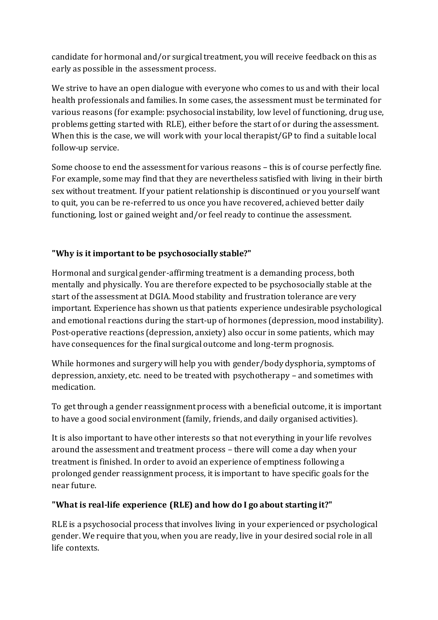candidate for hormonal and/or surgical treatment, you will receive feedback on this as early as possible in the assessment process.

We strive to have an open dialogue with everyone who comes to us and with their local health professionals and families. In some cases, the assessment must be terminated for various reasons (for example: psychosocial instability, low level of functioning, drug use, problems getting started with RLE), either before the start of or during the assessment. When this is the case, we will work with your local therapist/GP to find a suitable local follow-up service.

Some choose to end the assessment for various reasons – this is of course perfectly fine. For example, some may find that they are nevertheless satisfied with living in their birth sex without treatment. If your patient relationship is discontinued or you yourself want to quit, you can be re-referred to us once you have recovered, achieved better daily functioning, lost or gained weight and/or feel ready to continue the assessment.

## **"Why is it important to be psychosocially stable?"**

Hormonal and surgical gender-affirming treatment is a demanding process, both mentally and physically. You are therefore expected to be psychosocially stable at the start of the assessment at DGIA. Mood stability and frustration tolerance are very important. Experience has shown us that patients experience undesirable psychological and emotional reactions during the start-up of hormones (depression, mood instability). Post-operative reactions (depression, anxiety) also occur in some patients, which may have consequences for the final surgical outcome and long-term prognosis.

While hormones and surgery will help you with gender/body dysphoria, symptoms of depression, anxiety, etc. need to be treated with psychotherapy – and sometimes with medication.

To get through a gender reassignment process with a beneficial outcome, it is important to have a good social environment (family, friends, and daily organised activities).

It is also important to have other interests so that not everything in your life revolves around the assessment and treatment process – there will come a day when your treatment is finished. In order to avoid an experience of emptiness following a prolonged gender reassignment process, it is important to have specific goals for the near future.

#### **"What is real-life experience (RLE) and how do I go about starting it?"**

RLE is a psychosocial process that involves living in your experienced or psychological gender. We require that you, when you are ready, live in your desired social role in all life contexts.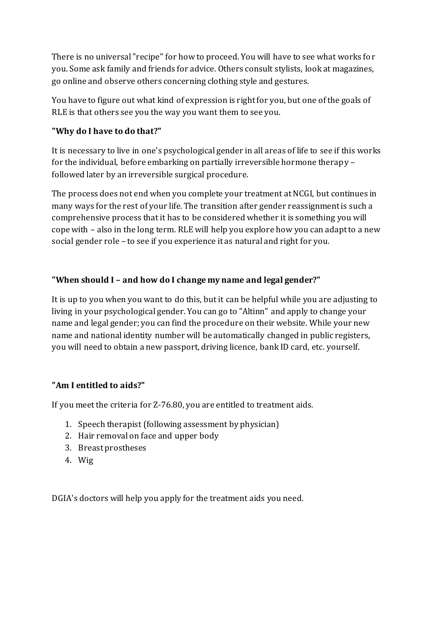There is no universal "recipe" for how to proceed. You will have to see what works for you. Some ask family and friends for advice. Others consult stylists, look at magazines, go online and observe others concerning clothing style and gestures.

You have to figure out what kind of expression is right for you, but one of the goals of RLE is that others see you the way you want them to see you.

## **"Why do I have to do that?"**

It is necessary to live in one's psychological gender in all areas of life to see if this works for the individual, before embarking on partially irreversible hormone therapy – followed later by an irreversible surgical procedure.

The process does not end when you complete your treatment at NCGI, but continues in many ways for the rest of your life. The transition after gender reassignment is such a comprehensive process that it has to be considered whether it is something you will cope with – also in the long term. RLE will help you explore how you can adapt to a new social gender role – to see if you experience it as natural and right for you.

## **"When should I – and how do I change my name and legal gender?"**

It is up to you when you want to do this, but it can be helpful while you are adjusting to living in your psychological gender. You can go to "Altinn" and apply to change your name and legal gender; you can find the procedure on their website. While your new name and national identity number will be automatically changed in public registers, you will need to obtain a new passport, driving licence, bank ID card, etc. yourself.

#### **"Am I entitled to aids?"**

If you meet the criteria for Z-76.80, you are entitled to treatment aids.

- 1. Speech therapist (following assessment by physician)
- 2. Hair removal on face and upper body
- 3. Breast prostheses
- 4. Wig

DGIA's doctors will help you apply for the treatment aids you need.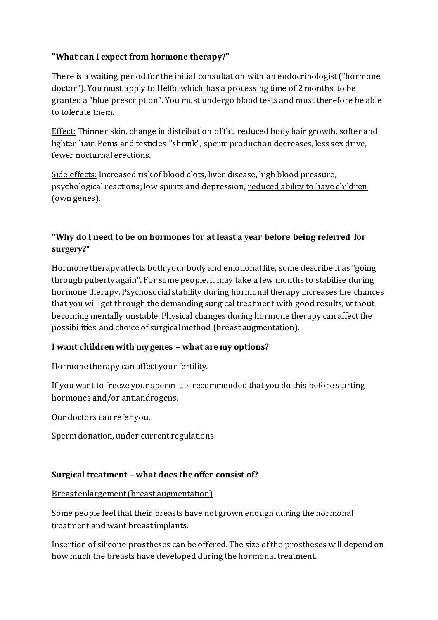## **"What can I expect from hormone therapy?"**

There is a waiting period for the initial consultation with an endocrinologist ("hormone doctor"). You must apply to Helfo, which has a processing time of 2 months, to be granted a "blue prescription". You must undergo blood tests and must therefore be able to tolerate them.

Effect: Thinner skin, change in distribution of fat, reduced body hair growth, softer and lighter hair. Penis and testicles "shrink", sperm production decreases, less sex drive, fewer nocturnal erections.

Side effects: Increased risk of blood clots, liver disease, high blood pressure, psychological reactions; low spirits and depression, reduced ability to have children (own genes).

## **"Why do I need to be on hormones for at least a year before being referred for surgery?"**

Hormone therapy affects both your body and emotional life, some describe it as "going through puberty again". For some people, it may take a few months to stabilise during hormone therapy. Psychosocial stability during hormonal therapy increases the chances that you will get through the demanding surgical treatment with good results, without becoming mentally unstable. Physical changes during hormone therapy can affect the possibilities and choice of surgical method (breast augmentation).

#### **I want children with my genes – what are my options?**

Hormone therapy can affect your fertility.

If you want to freeze your sperm it is recommended that you do this before starting hormones and/or antiandrogens.

Our doctors can refer you.

Sperm donation, under current regulations

#### **Surgical treatment – what does the offer consist of?**

#### Breast enlargement (breast augmentation)

Some people feel that their breasts have not grown enough during the hormonal treatment and want breast implants.

Insertion of silicone prostheses can be offered. The size of the prostheses will depend on how much the breasts have developed during the hormonal treatment.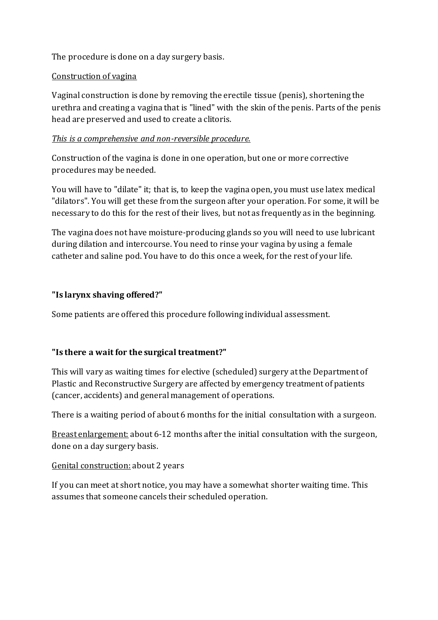The procedure is done on a day surgery basis.

### Construction of vagina

Vaginal construction is done by removing the erectile tissue (penis), shortening the urethra and creating a vagina that is "lined" with the skin of the penis. Parts of the penis head are preserved and used to create a clitoris.

### *This is a comprehensive and non-reversible procedure.*

Construction of the vagina is done in one operation, but one or more corrective procedures may be needed.

You will have to "dilate" it; that is, to keep the vagina open, you must use latex medical "dilators". You will get these from the surgeon after your operation. For some, it will be necessary to do this for the rest of their lives, but not as frequently as in the beginning.

The vagina does not have moisture-producing glands so you will need to use lubricant during dilation and intercourse. You need to rinse your vagina by using a female catheter and saline pod. You have to do this once a week, for the rest of your life.

## **"Is larynx shaving offered?"**

Some patients are offered this procedure following individual assessment.

## **"Is there a wait for the surgical treatment?"**

This will vary as waiting times for elective (scheduled) surgery at the Department of Plastic and Reconstructive Surgery are affected by emergency treatment of patients (cancer, accidents) and general management of operations.

There is a waiting period of about 6 months for the initial consultation with a surgeon.

Breast enlargement: about 6-12 months after the initial consultation with the surgeon, done on a day surgery basis.

## Genital construction: about 2 years

If you can meet at short notice, you may have a somewhat shorter waiting time. This assumes that someone cancels their scheduled operation.